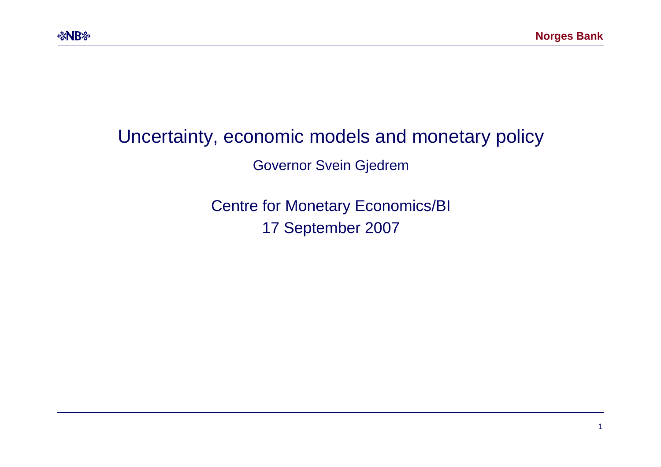### Uncertainty, economic models and monetary policy

Governor Svein Gjedrem

Centre for Monetary Economics/BI 17 September 2007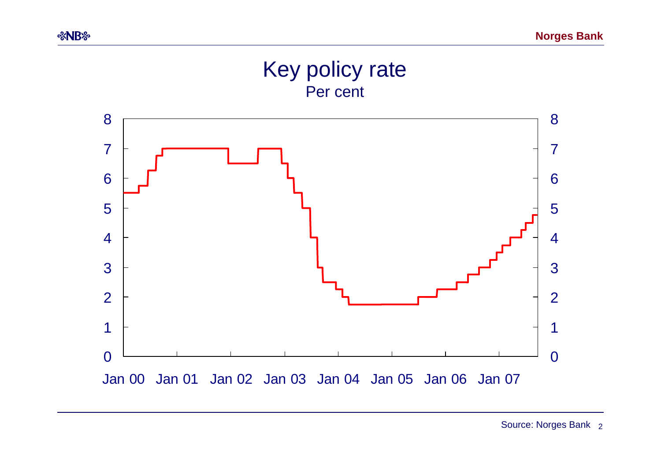#### Key policy rate Per cent



Source: Norges Bank <sub>2</sub>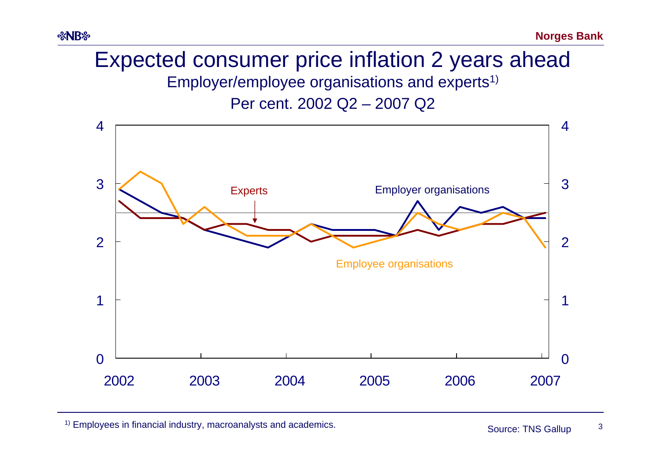# Expected consumer price inflation 2 years ahead Employer/employee organisations and experts1)

Per cent. 2002 Q2 – 2007 Q2



<sup>1)</sup> Employees in financial industry, macroanalysts and academics. Source: TNS Gallup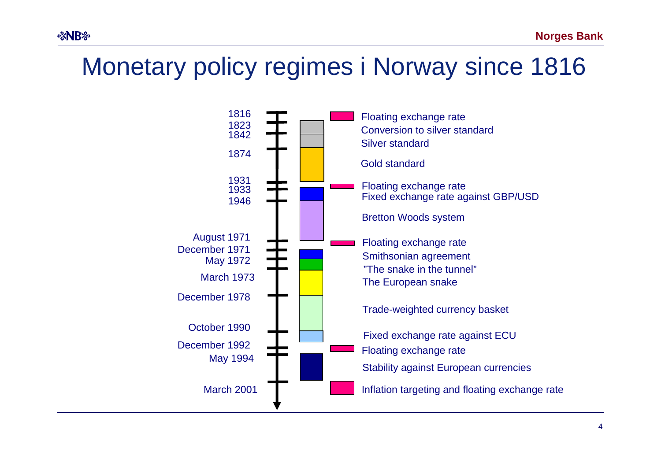# Monetary policy regimes i Norway since 1816

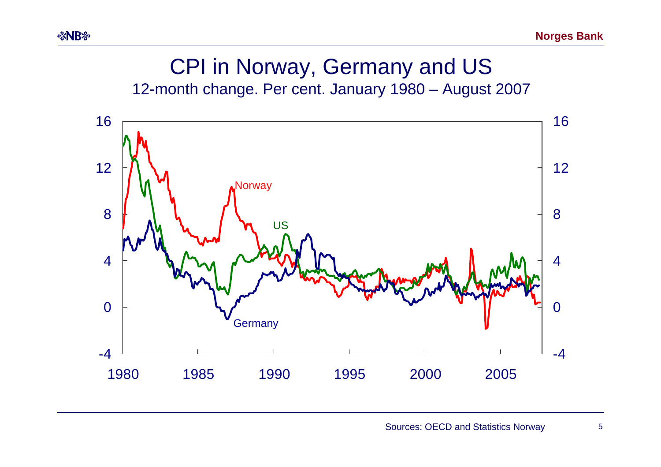# CPI in Norway, Germany and US

*<b>&NB* 

12-month change. Per cent. January 1980 – August 2007

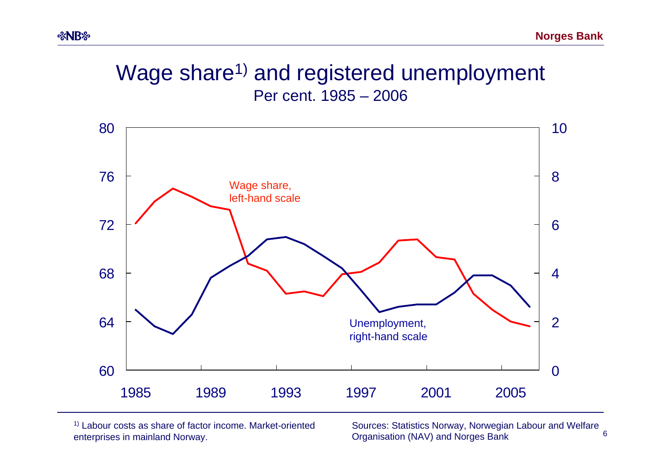### Wage share<sup>1)</sup> and registered unemployment Per cent. 1985 – 2006



1) Labour costs as share of factor income. Market-oriented enterprises in mainland Norway.

6Sources: Statistics Norway, Norwegian Labour and Welfare Organisation (NAV) and Norges Bank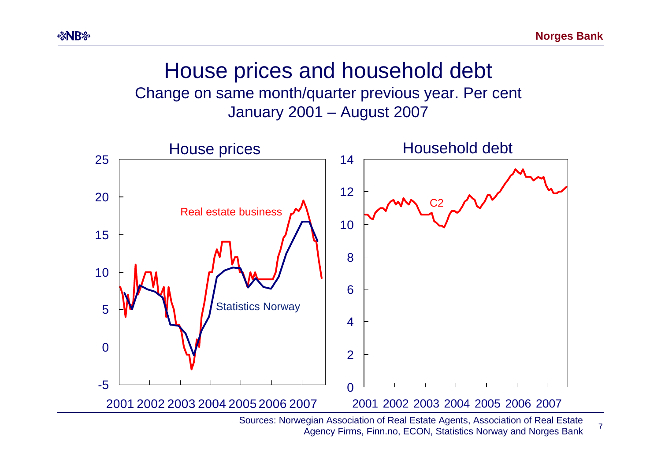7

### House prices and household debt Change on same month/quarter previous year. Per cent January 2001 – August 2007



Sources: Norwegian Association of Real Estate Agents, Association of Real Estate Agency Firms, Finn.no, ECON, Statistics Norway and Norges Bank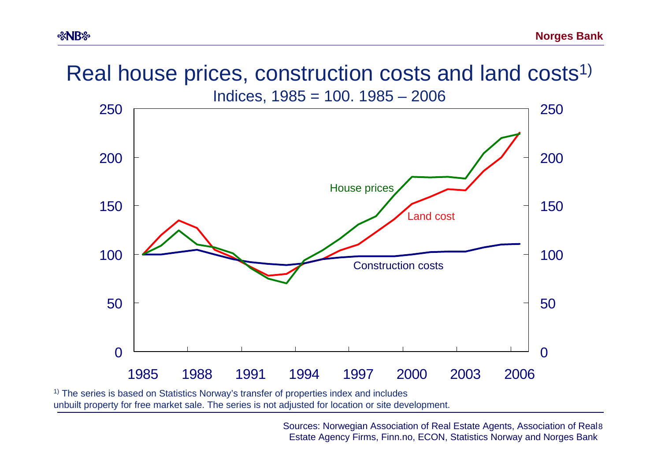# Real house prices, construction costs and land costs<sup>1)</sup>



<sup>1)</sup> The series is based on Statistics Norway's transfer of properties index and includes unbuilt property for free market sale. The series is not adjusted for location or site development.

> 8 Sources: Norwegian Association of Real Estate Agents, Association of Real Estate Agency Firms, Finn.no, ECON, Statistics Norway and Norges Bank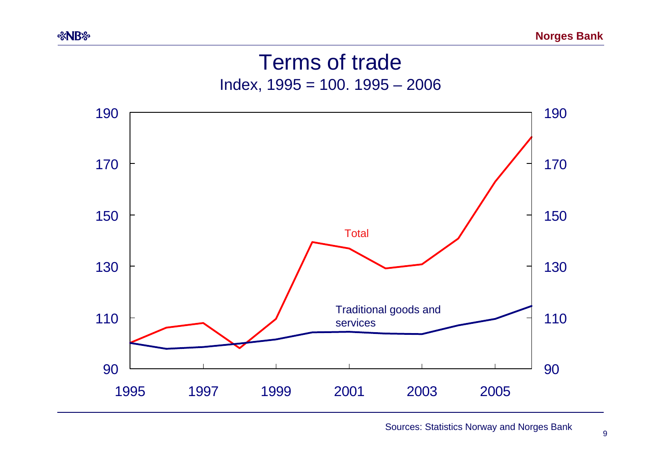## Terms of trade Index, 1995 = 100. 1995 – 2006



Sources: Statistics Norway and Norges Bank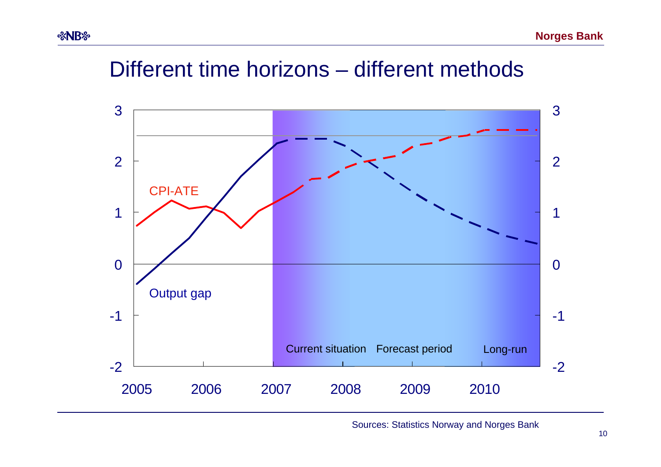# Different time horizons – different methods

*%NB* 



Sources: Statistics Norway and Norges Bank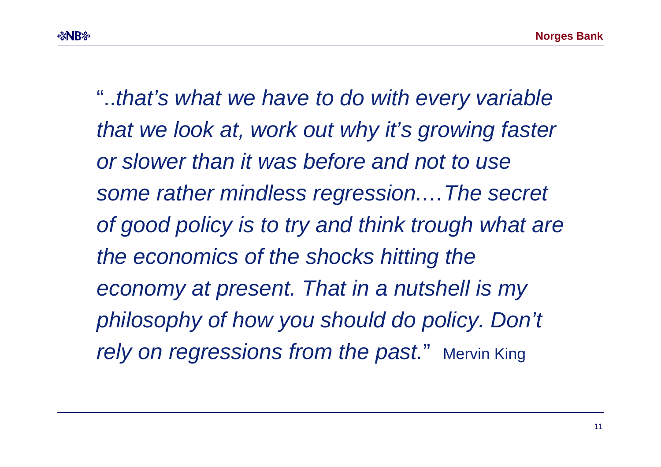"..*that's what we have to do with every variable that we look at, work out why it's growing faster or slower than it was before and not to use some rather mindless regression.…The secret of good policy is to try and think trough what are the economics of the shocks hitting the economy at present. That in a nutshell is my philosophy of how you should do policy. Don't rely on regressions from the past.*" Mervin King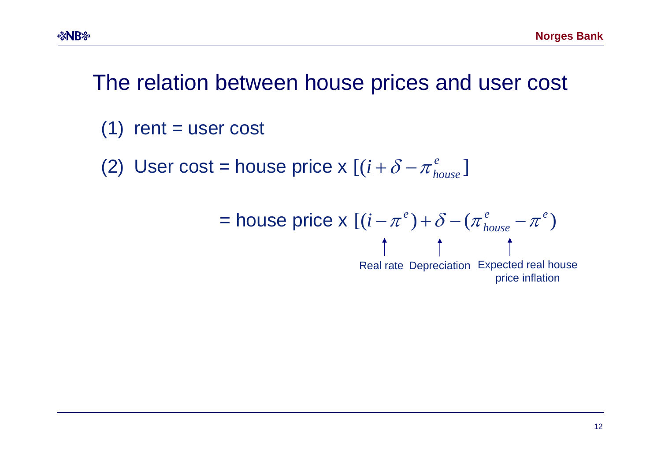# The relation between house prices and user cost

 $(1)$  rent = user cost

**&NB&** 

(2) User cost = house price x  $[(i+\delta-\pi_{house}^e)]$ 

$$
= \text{house price x } [(i - \pi^e) + \delta - (\pi^e_{house} - \pi^e) \text{]}
$$

Real rate Depreciation Expected real house price inflation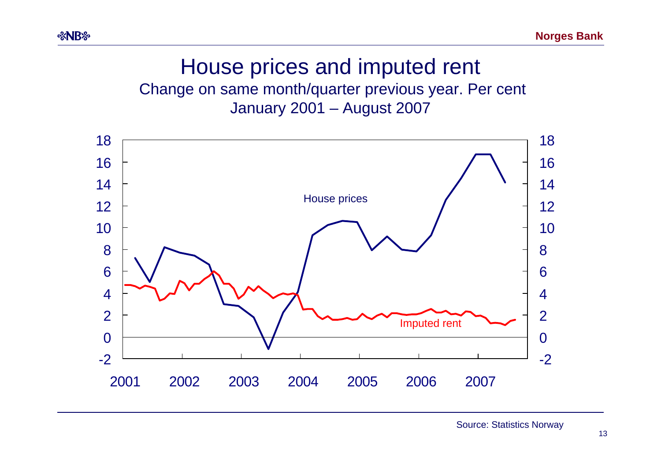## House prices and imputed rent Change on same month/quarter previous year. Per cent

January 2001 – August 2007

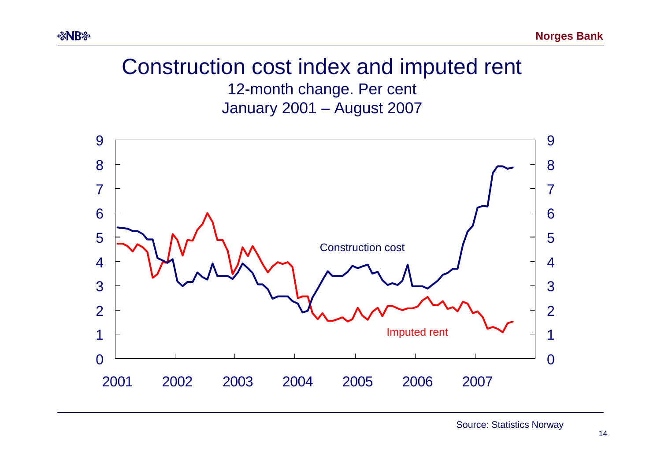# Construction cost index and imputed rent

*<b>&NB* 

12-month change. Per cent January 2001 – August 2007



Source: Statistics Norway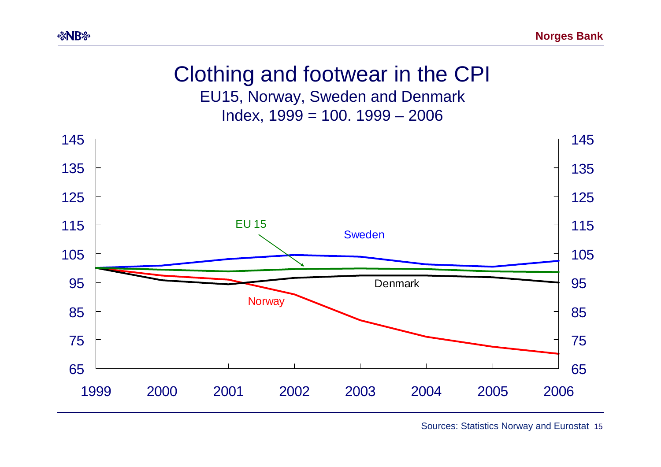#### Clothing and footwear in the CPI EU15, Norway, Sweden and Denmark Index, 1999 = 100. 1999 – 2006



Sources: Statistics Norway and Eurostat 15